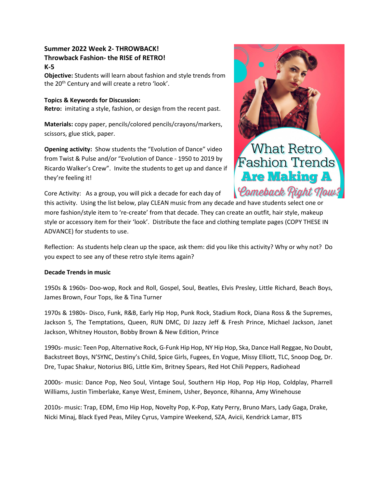## **Summer 2022 Week 2- THROWBACK! Throwback Fashion- the RISE of RETRO! K-5**

**Objective:** Students will learn about fashion and style trends from the 20<sup>th</sup> Century and will create a retro 'look'.

## **Topics & Keywords for Discussion:**

**Retro:** imitating a style, fashion, or design from the recent past.

**Materials:** copy paper, pencils/colored pencils/crayons/markers, scissors, glue stick, paper.

**Opening activity:** Show students the "Evolution of Dance" video from Twist & Pulse and/or "Evolution of Dance - 1950 to 2019 by Ricardo Walker's Crew". Invite the students to get up and dance if they're feeling it!

Core Activity: As a group, you will pick a decade for each day of



this activity. Using the list below, play CLEAN music from any decade and have students select one or more fashion/style item to 're-create' from that decade. They can create an outfit, hair style, makeup style or accessory item for their 'look'. Distribute the face and clothing template pages (COPY THESE IN ADVANCE) for students to use.

Reflection: As students help clean up the space, ask them: did you like this activity? Why or why not? Do you expect to see any of these retro style items again?

## **Decade Trends in music**

1950s & 1960s- Doo-wop, Rock and Roll, Gospel, Soul, Beatles, Elvis Presley, Little Richard, Beach Boys, James Brown, Four Tops, Ike & Tina Turner

1970s & 1980s- Disco, Funk, R&B, Early Hip Hop, Punk Rock, Stadium Rock, Diana Ross & the Supremes, Jackson 5, The Temptations, Queen, RUN DMC, DJ Jazzy Jeff & Fresh Prince, Michael Jackson, Janet Jackson, Whitney Houston, Bobby Brown & New Edition, Prince

1990s- music: Teen Pop, Alternative Rock, G-Funk Hip Hop, NY Hip Hop, Ska, Dance Hall Reggae, No Doubt, Backstreet Boys, N'SYNC, Destiny's Child, Spice Girls, Fugees, En Vogue, Missy Elliott, TLC, Snoop Dog, Dr. Dre, Tupac Shakur, Notorius BIG, Little Kim, Britney Spears, Red Hot Chili Peppers, Radiohead

2000s- music: Dance Pop, Neo Soul, Vintage Soul, Southern Hip Hop, Pop Hip Hop, Coldplay, Pharrell Williams, Justin Timberlake, Kanye West, Eminem, Usher, Beyonce, Rihanna, Amy Winehouse

2010s- music: Trap, EDM, Emo Hip Hop, Novelty Pop, K-Pop, Katy Perry, Bruno Mars, Lady Gaga, Drake, Nicki Minaj, Black Eyed Peas, Miley Cyrus, Vampire Weekend, SZA, Avicii, Kendrick Lamar, BTS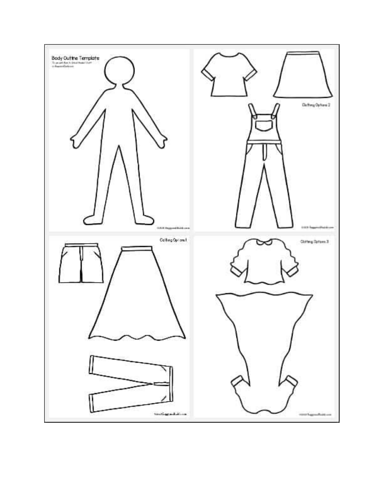